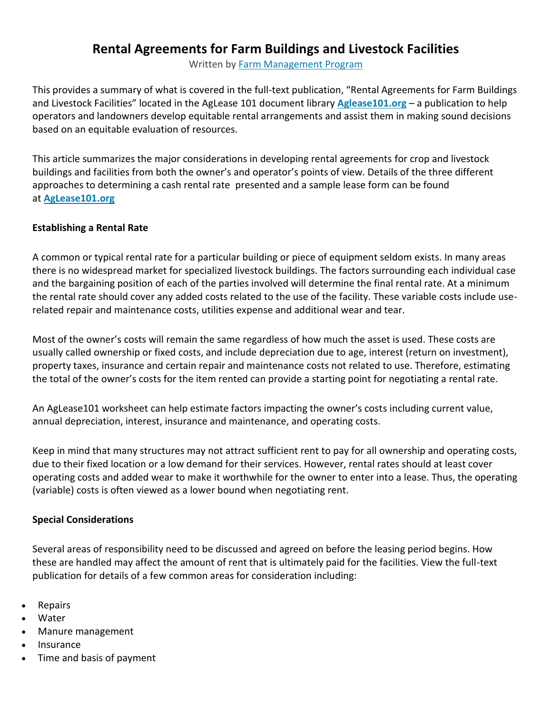## **Rental Agreements for Farm Buildings and Livestock Facilities**

Written by [Farm Management Program](https://farms.extension.wisc.edu/author/farm-management/)

This provides a summary of what is covered in the full-text publication, "Rental Agreements for Farm Buildings and Livestock Facilities" located in the AgLease 101 document library **[Aglease101.org](http://aglease101.org/)** – a publication to help operators and landowners develop equitable rental arrangements and assist them in making sound decisions based on an equitable evaluation of resources.

This article summarizes the major considerations in developing rental agreements for crop and livestock buildings and facilities from both the owner's and operator's points of view. Details of the three different approaches to determining a cash rental rate presented and a sample lease form can be found at **[AgLease101.org](http://aglease101.org/)**

## **Establishing a Rental Rate**

A common or typical rental rate for a particular building or piece of equipment seldom exists. In many areas there is no widespread market for specialized livestock buildings. The factors surrounding each individual case and the bargaining position of each of the parties involved will determine the final rental rate. At a minimum the rental rate should cover any added costs related to the use of the facility. These variable costs include userelated repair and maintenance costs, utilities expense and additional wear and tear.

Most of the owner's costs will remain the same regardless of how much the asset is used. These costs are usually called ownership or fixed costs, and include depreciation due to age, interest (return on investment), property taxes, insurance and certain repair and maintenance costs not related to use. Therefore, estimating the total of the owner's costs for the item rented can provide a starting point for negotiating a rental rate.

An AgLease101 worksheet can help estimate factors impacting the owner's costs including current value, annual depreciation, interest, insurance and maintenance, and operating costs.

Keep in mind that many structures may not attract sufficient rent to pay for all ownership and operating costs, due to their fixed location or a low demand for their services. However, rental rates should at least cover operating costs and added wear to make it worthwhile for the owner to enter into a lease. Thus, the operating (variable) costs is often viewed as a lower bound when negotiating rent.

## **Special Considerations**

Several areas of responsibility need to be discussed and agreed on before the leasing period begins. How these are handled may affect the amount of rent that is ultimately paid for the facilities. View the full-text publication for details of a few common areas for consideration including:

- Repairs
- Water
- Manure management
- Insurance
- Time and basis of payment